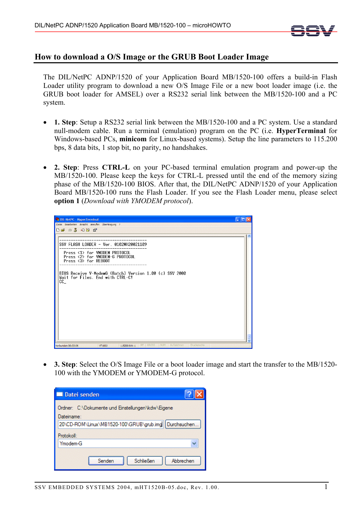

## **How to download a O/S Image or the GRUB Boot Loader Image**

The DIL/NetPC ADNP/1520 of your Application Board MB/1520-100 offers a build-in Flash Loader utility program to download a new O/S Image File or a new boot loader image (i.e. the GRUB boot loader for AMSEL) over a RS232 serial link between the MB/1520-100 and a PC system.

- **1. Step**: Setup a RS232 serial link between the MB/1520-100 and a PC system. Use a standard null-modem cable. Run a terminal (emulation) program on the PC (i.e. **HyperTerminal** for Windows-based PCs, **minicom** for Linux-based systems). Setup the line parameters to 115.200 bps, 8 data bits, 1 stop bit, no parity, no handshakes.
- **2. Step**: Press **CTRL-L** on your PC-based terminal emulation program and power-up the MB/1520-100. Please keep the keys for CTRL-L pressed until the end of the memory sizing phase of the MB/1520-100 BIOS. After that, the DIL/NetPC ADNP/1520 of your Application Board MB/1520-100 runs the Flash Loader. If you see the Flash Loader menu, please select **option 1** (*Download with YMODEM protocol*).



• **3. Step**: Select the O/S Image File or a boot loader image and start the transfer to the MB/1520- 100 with the YMODEM or YMODEM-G protocol.

| Datei senden                                                                                                            |
|-------------------------------------------------------------------------------------------------------------------------|
| Ordner: C:\Dokumente und Einstellungen\kdw\Eigene<br>Dateiname:<br>20\CD-ROM\Linux\MB1520-100\GRUB\grub.img Durchsuchen |
| Protokoll:                                                                                                              |
| Ymodem-G                                                                                                                |
| Abbrechen<br><b>Schließen</b><br>Senden                                                                                 |